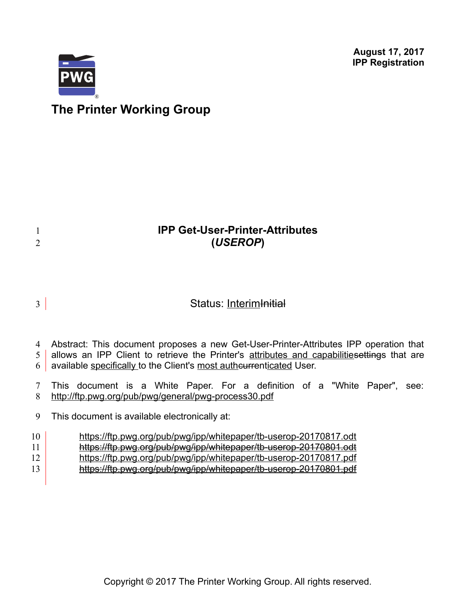**August 17, 2017 IPP Registration**



1 2

# **The Printer Working Group**

# **IPP Get-User-Printer-Attributes (***USEROP***)**

# Status: Interim Initial 3

Abstract: This document proposes a new Get-User-Printer-Attributes IPP operation that 4

allows an IPP Client to retrieve the Printer's attributes and capabilitiesettings that are 5

6 available specifically to the Client's most autheurrenticated User.

This document is a White Paper. For a definition of a "White Paper", see: http://ftp.pwg.org/pub/pwg/general/pwg-process30.pdf 7 8

This document is available electronically at: 9

#### <https://ftp.pwg.org/pub/pwg/ipp/whitepaper/tb-userop-20170817.odt> 10

- <https://ftp.pwg.org/pub/pwg/ipp/whitepaper/tb-userop-20170801.odt> 11
- <https://ftp.pwg.org/pub/pwg/ipp/whitepaper/tb-userop-20170817.pdf> 12
- <https://ftp.pwg.org/pub/pwg/ipp/whitepaper/tb-userop-20170801.pdf> 13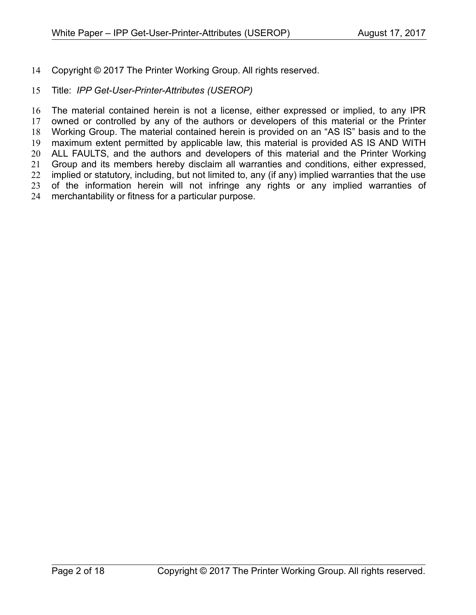Copyright © 2017 The Printer Working Group. All rights reserved. 14

#### Title: *IPP Get-User-Printer-Attributes (USEROP)* 15

The material contained herein is not a license, either expressed or implied, to any IPR owned or controlled by any of the authors or developers of this material or the Printer Working Group. The material contained herein is provided on an "AS IS" basis and to the maximum extent permitted by applicable law, this material is provided AS IS AND WITH ALL FAULTS, and the authors and developers of this material and the Printer Working Group and its members hereby disclaim all warranties and conditions, either expressed, implied or statutory, including, but not limited to, any (if any) implied warranties that the use of the information herein will not infringe any rights or any implied warranties of merchantability or fitness for a particular purpose. 16 17 18 19 20 21 22 23 24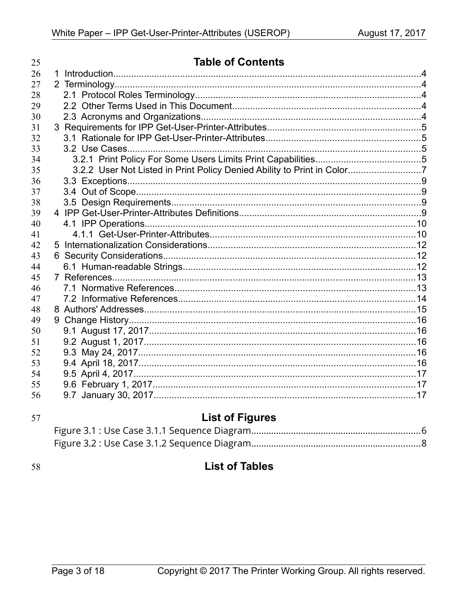| 25 | <b>Table of Contents</b>                                                |  |
|----|-------------------------------------------------------------------------|--|
| 26 |                                                                         |  |
| 27 |                                                                         |  |
| 28 |                                                                         |  |
| 29 |                                                                         |  |
| 30 |                                                                         |  |
| 31 |                                                                         |  |
| 32 |                                                                         |  |
| 33 |                                                                         |  |
| 34 |                                                                         |  |
| 35 | 3.2.2 User Not Listed in Print Policy Denied Ability to Print in Color7 |  |
| 36 |                                                                         |  |
| 37 |                                                                         |  |
| 38 |                                                                         |  |
| 39 |                                                                         |  |
| 40 |                                                                         |  |
| 41 |                                                                         |  |
| 42 |                                                                         |  |
| 43 |                                                                         |  |
| 44 |                                                                         |  |
| 45 |                                                                         |  |
| 46 |                                                                         |  |
| 47 |                                                                         |  |
| 48 |                                                                         |  |
| 49 |                                                                         |  |
| 50 |                                                                         |  |
| 51 |                                                                         |  |
| 52 |                                                                         |  |
| 53 |                                                                         |  |
| 54 |                                                                         |  |
| 55 |                                                                         |  |
| 56 |                                                                         |  |

| ×                 | ۰.<br>۹<br>I |
|-------------------|--------------|
| I<br>۰.<br>v<br>× |              |

# **List of Figures**

58

# **List of Tables**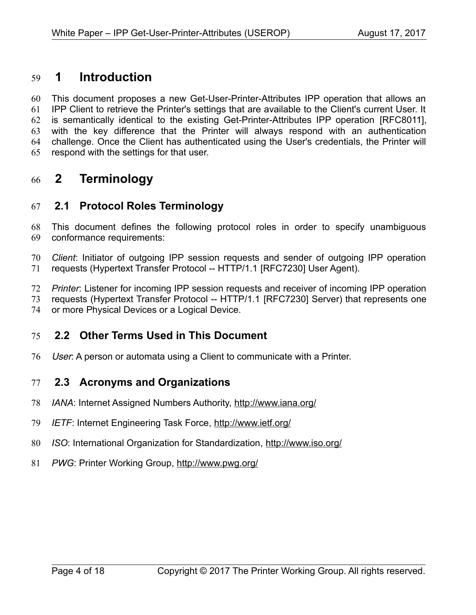# **1 Introduction** 59

This document proposes a new Get-User-Printer-Attributes IPP operation that allows an IPP Client to retrieve the Printer's settings that are available to the Client's current User. It is semantically identical to the existing Get-Printer-Attributes IPP operation [\[RFC8011\],](#page-14-0) with the key difference that the Printer will always respond with an authentication challenge. Once the Client has authenticated using the User's credentials, the Printer will respond with the settings for that user. 60 61 62 63 64 65

# **2 Terminology** 66

## **2.1 Protocol Roles Terminology** 67

This document defines the following protocol roles in order to specify unambiguous conformance requirements: 68 69

*Client*: Initiator of outgoing IPP session requests and sender of outgoing IPP operation requests (Hypertext Transfer Protocol -- HTTP/1.1 [\[RFC7230\]](#page-14-1) User Agent). 70 71

*Printer*: Listener for incoming IPP session requests and receiver of incoming IPP operation 72

requests (Hypertext Transfer Protocol -- HTTP/1.1 [\[RFC7230\]](#page-14-1) Server) that represents one 73

or more Physical Devices or a Logical Device. 74

## **2.2 Other Terms Used in This Document** 75

User: A person or automata using a Client to communicate with a Printer. 76

## **2.3 Acronyms and Organizations** 77

- *IANA*: Internet Assigned Numbers Authority,<http://www.iana.org/> 78
- *IETF*: Internet Engineering Task Force,<http://www.ietf.org/> 79
- *ISO*: International Organization for Standardization,<http://www.iso.org/> 80
- *PWG*: Printer Working Group,<http://www.pwg.org/> 81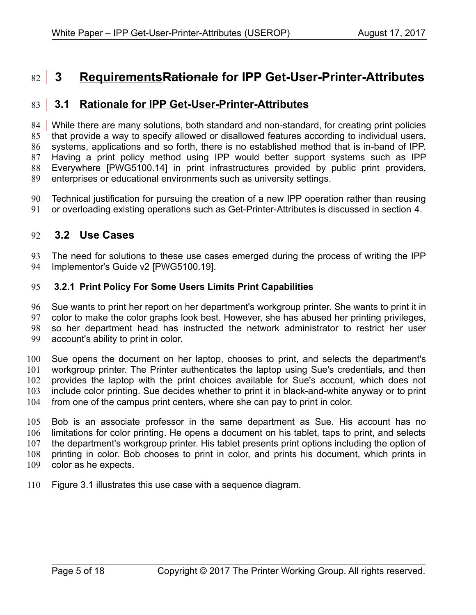# **3 RequirementsRationale for IPP Get-User-Printer-Attributes** 82

#### **3.1 Rationale for IPP Get-User-Printer-Attributes** 83

84 | While there are many solutions, both standard and non-standard, for creating print policies that provide a way to specify allowed or disallowed features according to individual users, systems, applications and so forth, there is no established method that is in-band of IPP. Having a print policy method using IPP would better support systems such as IPP Everywhere [\[PWG5100.14\]](#page-13-1) in print infrastructures provided by public print providers, enterprises or educational environments such as university settings. 85 86 87 88 89

Technical justification for pursuing the creation of a new IPP operation rather than reusing or overloading existing operations such as Get-Printer-Attributes is discussed in section [4.](#page-9-0) 90 91

#### <span id="page-4-0"></span> **3.2 Use Cases** 92

The need for solutions to these use cases emerged during the process of writing the IPP Implementor's Guide v2 [\[PWG5100.19\].](#page-13-0) 93 94

#### **3.2.1 Print Policy For Some Users Limits Print Capabilities** 95

Sue wants to print her report on her department's workgroup printer. She wants to print it in color to make the color graphs look best. However, she has abused her printing privileges, so her department head has instructed the network administrator to restrict her user account's ability to print in color. 96 97 98 99

Sue opens the document on her laptop, chooses to print, and selects the department's workgroup printer. The Printer authenticates the laptop using Sue's credentials, and then provides the laptop with the print choices available for Sue's account, which does not include color printing. Sue decides whether to print it in black-and-white anyway or to print from one of the campus print centers, where she can pay to print in color. 100 101 102 103 104

Bob is an associate professor in the same department as Sue. His account has no limitations for color printing. He opens a document on his tablet, taps to print, and selects the department's workgroup printer. His tablet presents print options including the option of printing in color. Bob chooses to print in color, and prints his document, which prints in color as he expects. 105 106 107 108 109

Figure [3.1](#page-5-0) illustrates this use case with a sequence diagram. 110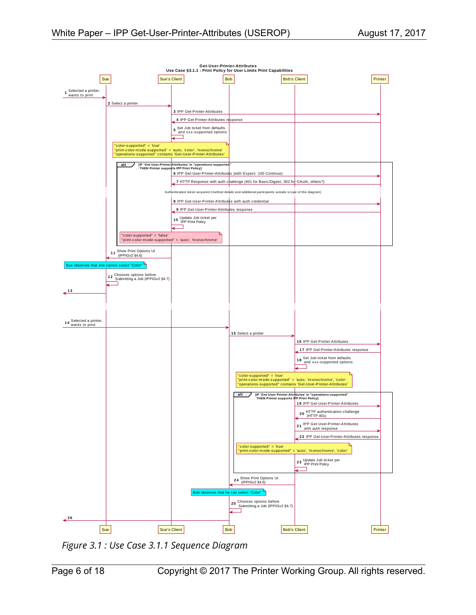

<span id="page-5-0"></span>*Figure 3.1 : Use Case 3.1.1 Sequence Diagram*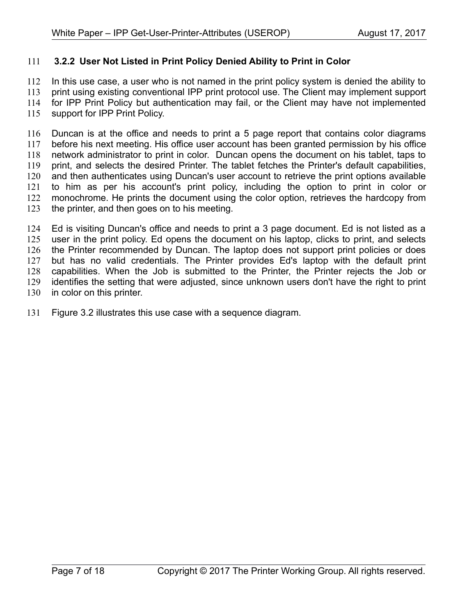#### **3.2.2 User Not Listed in Print Policy Denied Ability to Print in Color** 111

In this use case, a user who is not named in the print policy system is denied the ability to print using existing conventional IPP print protocol use. The Client may implement support for IPP Print Policy but authentication may fail, or the Client may have not implemented support for IPP Print Policy. 112 113 114 115

Duncan is at the office and needs to print a 5 page report that contains color diagrams before his next meeting. His office user account has been granted permission by his office network administrator to print in color. Duncan opens the document on his tablet, taps to print, and selects the desired Printer. The tablet fetches the Printer's default capabilities, and then authenticates using Duncan's user account to retrieve the print options available to him as per his account's print policy, including the option to print in color or monochrome. He prints the document using the color option, retrieves the hardcopy from the printer, and then goes on to his meeting. 116 117 118 119 120 121 122 123

Ed is visiting Duncan's office and needs to print a 3 page document. Ed is not listed as a user in the print policy. Ed opens the document on his laptop, clicks to print, and selects the Printer recommended by Duncan. The laptop does not support print policies or does but has no valid credentials. The Printer provides Ed's laptop with the default print capabilities. When the Job is submitted to the Printer, the Printer rejects the Job or identifies the setting that were adjusted, since unknown users don't have the right to print in color on this printer. 124 125 126 127 128 129 130

Figure [3.2](#page-7-0) illustrates this use case with a sequence diagram. 131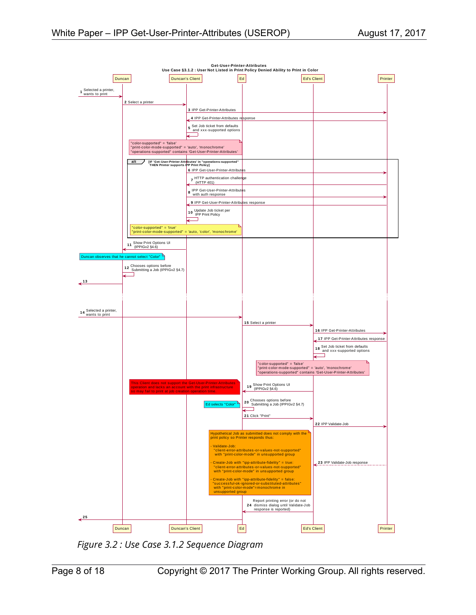

<span id="page-7-0"></span>*Figure 3.2 : Use Case 3.1.2 Sequence Diagram*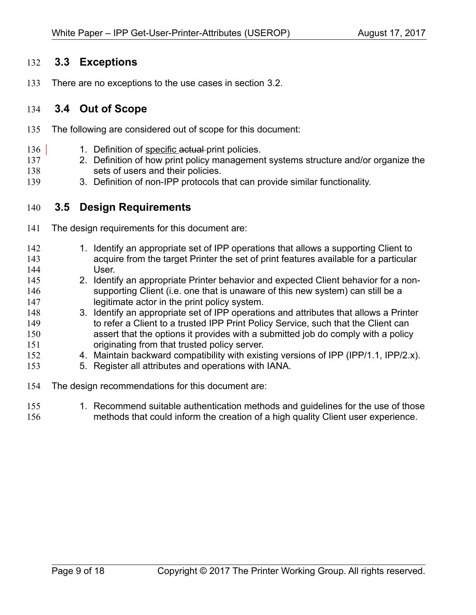## **3.3 Exceptions** 132

There are no exceptions to the use cases in section [3.2.](#page-4-0) 133

## **3.4 Out of Scope** 134

- The following are considered out of scope for this document: 135
- 1. Definition of specific actual print policies. 136
- 2. Definition of how print policy management systems structure and/or organize the sets of users and their policies. 137 138
- 3. Definition of non-IPP protocols that can provide similar functionality. 139

## **3.5 Design Requirements** 140

- The design requirements for this document are: 141
- 1. Identify an appropriate set of IPP operations that allows a supporting Client to acquire from the target Printer the set of print features available for a particular User. 2. Identify an appropriate Printer behavior and expected Client behavior for a nonsupporting Client (i.e. one that is unaware of this new system) can still be a legitimate actor in the print policy system. 142 143 144 145 146 147
- 3. Identify an appropriate set of IPP operations and attributes that allows a Printer to refer a Client to a trusted IPP Print Policy Service, such that the Client can assert that the options it provides with a submitted job do comply with a policy originating from that trusted policy server. 148 149 150 151
- 4. Maintain backward compatibility with existing versions of IPP (IPP/1.1, IPP/2.x). 152
- 5. Register all attributes and operations with IANA. 153
- The design recommendations for this document are: 154
- 1. Recommend suitable authentication methods and guidelines for the use of those methods that could inform the creation of a high quality Client user experience. 155 156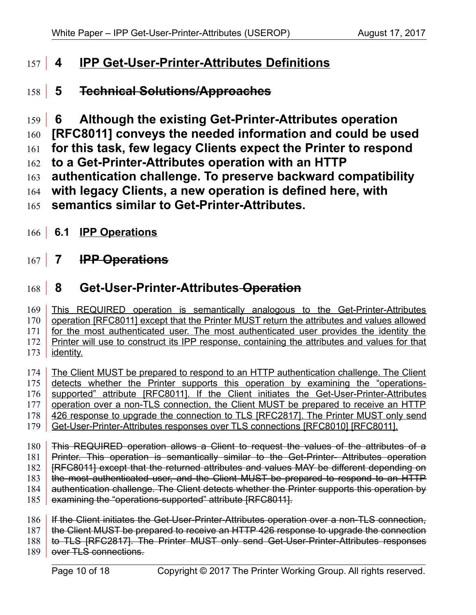# <span id="page-9-0"></span> **4 IPP Get-User-Printer-Attributes Definitions** 157

# **5 Technical Solutions/Approaches** 158

 **6 Although the existing Get-Printer-Attributes operatio[n](#page-14-0)** 159

**[\[RFC8011\]](#page-14-0) conveys the needed information and could be used**  160

**for this task, few legacy Clients expect the Printer to respond**  161

- **to a Get-Printer-Attributes operation with an HTTP**  162
- **authentication challenge. To preserve backward compatibility**  163
- **with legacy Clients, a new operation is defined here, with**  164

**semantics similar to Get-Printer-Attributes.** 165

166 **6.1 IPP Operations** 

# **7 IPP Operations**  $167$

# **8 Get-User-Printer-Attributes Operation** 168

This REQUIRED operation is semantically analogous to the Get-Printer-Attributes operation [\[RFC8011\]](#page-14-0) except that the Printer MUST return the attributes and values allowed for the most authenticated user. The most authenticated user provides the identity the Printer will use to construct its IPP response, containing the attributes and values for that identity. 169 170 171 172 173

The Client MUST be prepared to respond to an HTTP authentication challenge. The Client detects whether the Printer supports this operation by examining the "operations-supported" attribute [\[RFC8011\].](#page-14-0) If the Client initiates the Get-User-Printer-Attributes operation over a non-TLS connection, the Client MUST be prepared to receive an HTTP 426 response to upgrade the connection to TLS [\[RFC2817\].](#page-13-2) The Printer MUST only send Get-User-Printer-Attributes responses over TLS connections [\[RFC8010\]](#page-14-2) [\[RFC8011\].](#page-14-0) 174 175 176 177 178 179

This REQUIRED operation allows a Client to request the values of the attributes of a Printer. This operation is semantically similar to the Get-Printer- Attributes operation [\[RFC8011\]](#page-14-0) except that the returned attributes and values MAY be different depending on the most authenticated user, and the Client MUST be prepared to respond to an HTTP authentication challenge. The Client detects whether the Printer supports this operation by examining the "operations-supported" attribute [\[RFC8011\].](#page-14-0) 180 181 182 183 184 185

If the Client initiates the Get-User-Printer-Attributes operation over a non-TLS connection, the Client MUST be prepared to receive an HTTP 426 response to upgrade the connection to TLS [\[RFC2817\].](#page-13-2) The Printer MUST only send Get-User-Printer-Attributes responses 186 187 188

over TLS connections. 189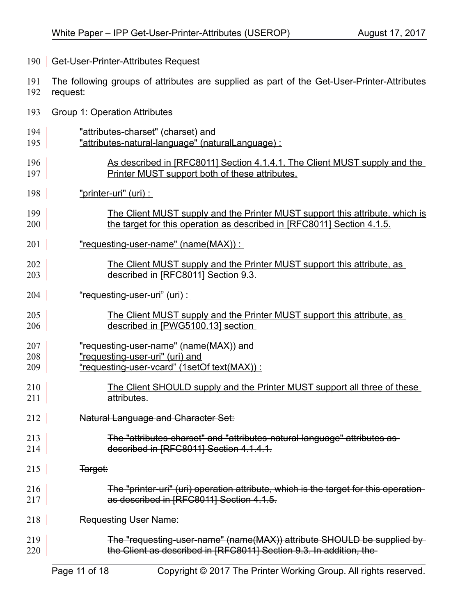- 190 | Get-User-Printer-Attributes Request
- The following groups of attributes are supplied as part of the Get-User-Printer-Attributes request: 191 192
- Group 1: Operation Attributes 193
- "attributes-charset" (charset) and 194
- "attributes-natural-language" (naturalLanguage) : 195
- As described in [\[RFC8011\]](#page-14-0) Section 4.1.4.1. The Client MUST supply and the Printer MUST support both of these attributes. 196 197
- "printer-uri" (uri) : 198
- The Client MUST supply and the Printer MUST support this attribute, which is the target for this operation as described in [\[RFC8011\]](#page-14-0) Section 4.1.5. 199 200
- "requesting-user-name" (name(MAX)) : 201
- The Client MUST supply and the Printer MUST support this attribute, as described in [\[RFC8011\]](#page-14-0) Section 9.3. 202 203
- "requesting-user-uri" (uri) : 204
- The Client MUST supply and the Printer MUST support this attribute, as described in [\[PWG5100.13\]](#page-13-3) section 205 206
- "requesting-user-name" (name(MAX)) and 207
- "requesting-user-uri" (uri) and 208
- "requesting-user-vcard" (1setOf text(MAX)) : 209
- The Client SHOULD supply and the Printer MUST support all three of these attributes. 210 211
- Natural Language and Character Set: 212
- The "attributes-charset" and "attributes-natural-language" attributes as described in [\[RFC8011\]](#page-14-0) Section 4.1.4.1. 213 214
- Target: 215
- The "printer-uri" (uri) operation attribute, which is the target for this operation as described in [\[RFC8011\]](#page-14-0) Section 4.1.5. 216 217
- Requesting User Name: 218
- The "requesting-user-name" (name(MAX)) attribute SHOULD be supplied by the Client as described in [\[RFC8011\]](#page-14-0) Section 9.3. In addition, the 219 220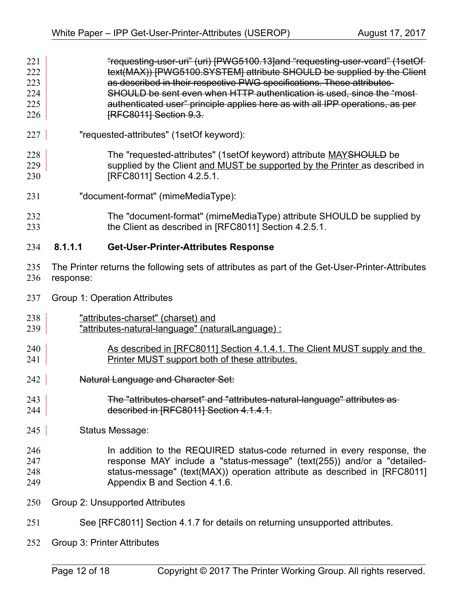- "requesting-user-uri" (uri) [\[PWG5100.13\]a](#page-13-3)nd "requesting-user-vcard" (1setOf text(MAX)) [\[PWG5100.SYSTEM\]](#page-13-4) attribute SHOULD be supplied by the Client as described in their respective PWG specifications. These attributes SHOULD be sent even when HTTP authentication is used, since the "most authenticated user" principle applies here as with all IPP operations, as pe[r](#page-14-0) [\[RFC8011\]](#page-14-0) Section 9.3. 221 222 223 224 225 226
- "requested-attributes" (1setOf keyword): 227

The "requested-attributes" (1setOf keyword) attribute MAYSHOULD be supplied by the Client and MUST be supported by the Printer as described in [\[RFC8011\]](#page-14-0) Section 4.2.5.1. 228 229 230

- "document-format" (mimeMediaType): 231
- The "document-format" (mimeMediaType) attribute SHOULD be supplied by the Client as described in [\[RFC8011\]](#page-14-0) Section 4.2.5.1. 232 233

#### **8.1.1.1 Get-User-Printer-Attributes Response** 234

- The Printer returns the following sets of attributes as part of the Get-User-Printer-Attributes response: 235 236
- Group 1: Operation Attributes 237
- "attributes-charset" (charset) and 238
- "attributes-natural-language" (naturalLanguage) : 239
- As described in [\[RFC8011\]](#page-14-0) Section 4.1.4.1. The Client MUST supply and the Printer MUST support both of these attributes. 240 241
- Natural Language and Character Set: 242
- The "attributes-charset" and "attributes-natural-language" attributes as described in [\[RFC8011\]](#page-14-0) Section 4.1.4.1. 243 244
- Status Message: 245

#### In addition to the REQUIRED status-code returned in every response, the response MAY include a "status-message" (text(255)) and/or a "detailedstatus-message" (text(MAX)) operation attribute as described in [\[RFC8011\]](#page-14-0) Appendix B and Section 4.1.6. 246 247 248 249

- Group 2: Unsupported Attributes 250
- See [\[RFC8011\]](#page-14-0) Section 4.1.7 for details on returning unsupported attributes. 251
- Group 3: Printer Attributes 252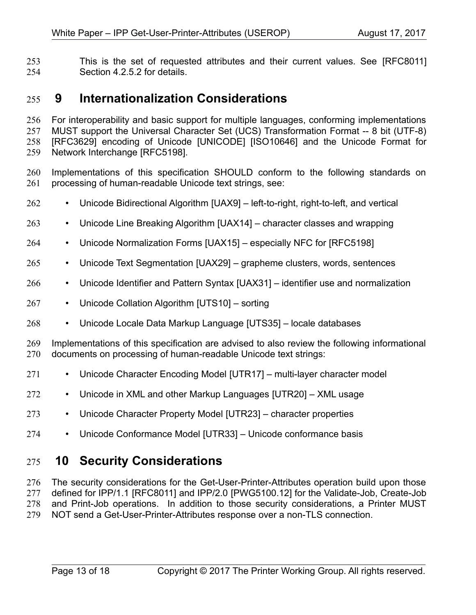This is the set of requested attributes and their current values. See [\[RFC8011\]](#page-14-0) Section 4.2.5.2 for details. 253 254

# **9 Internationalization Considerations** 255

For interoperability and basic support for multiple languages, conforming implementations MUST support the Universal Character Set (UCS) Transformation Format -- 8 bit (UTF-8) [\[RFC3629\]](#page-13-7) encoding of Unicode [\[UNICODE\]](#page-14-11) [\[ISO10646\]](#page-13-6) and the Unicode Format for Network Interchange [\[RFC5198\].](#page-14-7) 256 257 258 259

- Implementations of this specification SHOULD conform to the following standards on processing of human-readable Unicode text strings, see: 260 261
- Unicode Bidirectional Algorithm [\[UAX9\]](#page-14-10)  left-to-right, right-to-left, and vertical 262
- Unicode Line Breaking Algorithm [\[UAX14\]](#page-14-9)  character classes and wrapping 263
- Unicode Normalization Forms [\[UAX15\]](#page-14-8)  especially NFC for [\[RFC5198\]](#page-14-7) 264
- Unicode Text Segmentation [\[UAX29\]](#page-14-6)  grapheme clusters, words, sentences 265
- Unicode Identifier and Pattern Syntax [\[UAX31\]](#page-14-5)  identifier use and normalization 266
- Unicode Collation Algorithm [\[UTS10\]](#page-14-4)  sorting 267
- Unicode Locale Data Markup Language [\[UTS35\]](#page-14-3)  locale databases 268

Implementations of this specification are advised to also review the following informational documents on processing of human-readable Unicode text strings: 269 270

- Unicode Character Encoding Model [\[UTR17\]](#page-15-3)  multi-layer character model 271
- Unicode in XML and other Markup Languages [\[UTR20\]](#page-15-2)  XML usage 272
- Unicode Character Property Model [\[UTR23\]](#page-15-1)  character properties 273
- Unicode Conformance Model [\[UTR33\]](#page-15-0)  Unicode conformance basis 274

# **10 Security Considerations** 275

The security considerations for the Get-User-Printer-Attributes operation build upon those defined for IPP/1.1 [\[RFC8011\]](#page-14-0) and IPP/2.0 [\[PWG5100.12\]](#page-13-5) for the Validate-Job, Create-Job and Print-Job operations. In addition to those security considerations, a Printer MUST NOT send a Get-User-Printer-Attributes response over a non-TLS connection. 276 277 278 279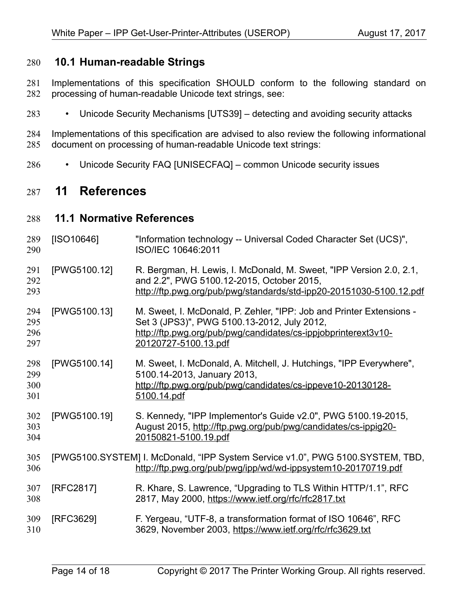#### **10.1 Human-readable Strings**  280

- Implementations of this specification SHOULD conform to the following standard on processing of human-readable Unicode text strings, see: 281 282
- Unicode Security Mechanisms [\[UTS39\]](#page-14-13)  detecting and avoiding security attacks 283

Implementations of this specification are advised to also review the following informational document on processing of human-readable Unicode text strings: 284 285

• Unicode Security FAQ [\[UNISECFAQ\]](#page-14-12) – common Unicode security issues 286

# **11 References** 287

#### **11.1 Normative References** 288

<span id="page-13-7"></span><span id="page-13-6"></span><span id="page-13-5"></span><span id="page-13-4"></span><span id="page-13-3"></span><span id="page-13-2"></span><span id="page-13-1"></span><span id="page-13-0"></span>

| 289<br>290               | [ISO10646]   | "Information technology -- Universal Coded Character Set (UCS)",<br>ISO/IEC 10646:2011                                                                                                                        |
|--------------------------|--------------|---------------------------------------------------------------------------------------------------------------------------------------------------------------------------------------------------------------|
| 291<br>292<br>293        | [PWG5100.12] | R. Bergman, H. Lewis, I. McDonald, M. Sweet, "IPP Version 2.0, 2.1,<br>and 2.2", PWG 5100.12-2015, October 2015,<br>http://ftp.pwg.org/pub/pwg/standards/std-ipp20-20151030-5100.12.pdf                       |
| 294<br>295<br>296<br>297 | [PWG5100.13] | M. Sweet, I. McDonald, P. Zehler, "IPP: Job and Printer Extensions -<br>Set 3 (JPS3)", PWG 5100.13-2012, July 2012,<br>http://ftp.pwg.org/pub/pwg/candidates/cs-ippjobprinterext3v10-<br>20120727-5100.13.pdf |
| 298<br>299<br>300<br>301 | [PWG5100.14] | M. Sweet, I. McDonald, A. Mitchell, J. Hutchings, "IPP Everywhere",<br>5100.14-2013, January 2013,<br>http://ftp.pwg.org/pub/pwg/candidates/cs-ippeve10-20130128-<br>5100.14.pdf                              |
| 302<br>303<br>304        | [PWG5100.19] | S. Kennedy, "IPP Implementor's Guide v2.0", PWG 5100.19-2015,<br>August 2015, http://ftp.pwg.org/pub/pwg/candidates/cs-ippig20-<br>20150821-5100.19.pdf                                                       |
| 305<br>306               |              | [PWG5100.SYSTEM] I. McDonald, "IPP System Service v1.0", PWG 5100.SYSTEM, TBD,<br>http://ftp.pwg.org/pub/pwg/ipp/wd/wd-ippsystem10-20170719.pdf                                                               |
| 307<br>308               | [RFC2817]    | R. Khare, S. Lawrence, "Upgrading to TLS Within HTTP/1.1", RFC<br>2817, May 2000, https://www.ietf.org/rfc/rfc2817.txt                                                                                        |
| 309<br>310               | [RFC3629]    | F. Yergeau, "UTF-8, a transformation format of ISO 10646", RFC<br>3629, November 2003, https://www.ietf.org/rfc/rfc3629.txt                                                                                   |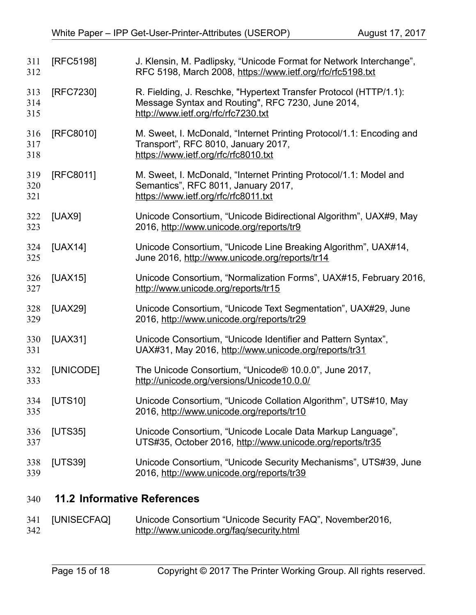<span id="page-14-10"></span><span id="page-14-9"></span><span id="page-14-8"></span><span id="page-14-7"></span><span id="page-14-2"></span><span id="page-14-1"></span><span id="page-14-0"></span>

| 311<br>312        | [RFC5198]      | J. Klensin, M. Padlipsky, "Unicode Format for Network Interchange",<br>RFC 5198, March 2008, https://www.ietf.org/rfc/rfc5198.txt                             |
|-------------------|----------------|---------------------------------------------------------------------------------------------------------------------------------------------------------------|
| 313<br>314<br>315 | [RFC7230]      | R. Fielding, J. Reschke, "Hypertext Transfer Protocol (HTTP/1.1):<br>Message Syntax and Routing", RFC 7230, June 2014,<br>http://www.ietf.org/rfc/rfc7230.txt |
| 316<br>317<br>318 | [RFC8010]      | M. Sweet, I. McDonald, "Internet Printing Protocol/1.1: Encoding and<br>Transport", RFC 8010, January 2017,<br>https://www.ietf.org/rfc/rfc8010.txt           |
| 319<br>320<br>321 | [RFC8011]      | M. Sweet, I. McDonald, "Internet Printing Protocol/1.1: Model and<br>Semantics", RFC 8011, January 2017,<br>https://www.ietf.org/rfc/rfc8011.txt              |
| 322<br>323        | [UAX9]         | Unicode Consortium, "Unicode Bidirectional Algorithm", UAX#9, May<br>2016, http://www.unicode.org/reports/tr9                                                 |
| 324<br>325        | <b>[UAX14]</b> | Unicode Consortium, "Unicode Line Breaking Algorithm", UAX#14,<br>June 2016, http://www.unicode.org/reports/tr14                                              |
| 326<br>327        | [UAX15]        | Unicode Consortium, "Normalization Forms", UAX#15, February 2016,<br>http://www.unicode.org/reports/tr15                                                      |
| 328<br>329        | [UAX29]        | Unicode Consortium, "Unicode Text Segmentation", UAX#29, June<br>2016, http://www.unicode.org/reports/tr29                                                    |
| 330<br>331        | [UAX31]        | Unicode Consortium, "Unicode Identifier and Pattern Syntax",<br>UAX#31, May 2016, http://www.unicode.org/reports/tr31                                         |
| 332<br>333        | [UNICODE]      | The Unicode Consortium, "Unicode® 10.0.0", June 2017,<br>http://unicode.org/versions/Unicode10.0.0/                                                           |
| 334<br>335        | [UTS10]        | Unicode Consortium, "Unicode Collation Algorithm", UTS#10, May<br>2016, http://www.unicode.org/reports/tr10                                                   |
| 336<br>337        | [UTS35]        | Unicode Consortium, "Unicode Locale Data Markup Language",<br>UTS#35, October 2016, http://www.unicode.org/reports/tr35                                       |
| 338<br>339        | [UTS39]        | Unicode Consortium, "Unicode Security Mechanisms", UTS#39, June<br>2016, http://www.unicode.org/reports/tr39                                                  |
|                   |                |                                                                                                                                                               |

## <span id="page-14-13"></span><span id="page-14-11"></span><span id="page-14-6"></span><span id="page-14-5"></span><span id="page-14-4"></span><span id="page-14-3"></span> **11.2 Informative References** 340

<span id="page-14-12"></span>

|     | 341 [UNISECFAQ] | Unicode Consortium "Unicode Security FAQ", November2016, |
|-----|-----------------|----------------------------------------------------------|
| 342 |                 | http://www.unicode.org/faq/security.html                 |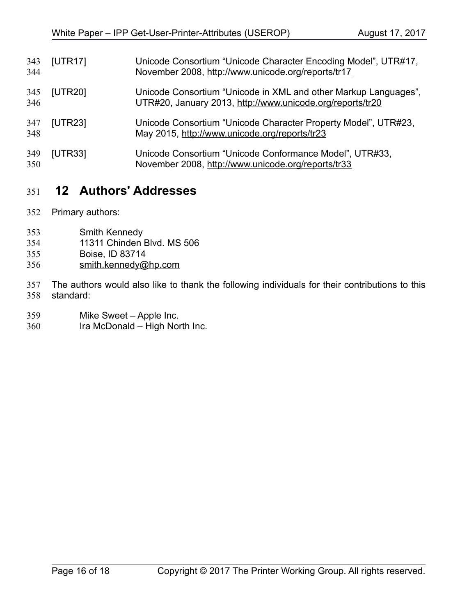<span id="page-15-3"></span><span id="page-15-2"></span><span id="page-15-1"></span>

| 343<br>344 | [UTR17] | Unicode Consortium "Unicode Character Encoding Model", UTR#17,<br>November 2008, http://www.unicode.org/reports/tr17         |
|------------|---------|------------------------------------------------------------------------------------------------------------------------------|
| 345<br>346 | [UTR20] | Unicode Consortium "Unicode in XML and other Markup Languages",<br>UTR#20, January 2013, http://www.unicode.org/reports/tr20 |
| 347<br>348 | [UTR23] | Unicode Consortium "Unicode Character Property Model", UTR#23,<br>May 2015, http://www.unicode.org/reports/tr23              |
| 349<br>350 | [UTR33] | Unicode Consortium "Unicode Conformance Model", UTR#33,<br>November 2008, http://www.unicode.org/reports/tr33                |

# <span id="page-15-0"></span> **12 Authors' Addresses** 351

- Primary authors: 352
- Smith Kennedy 353
- 11311 Chinden Blvd. MS 506 354
- Boise, ID 83714 355
- [smith.kennedy@hp.com](mailto:smith.kennedy@hp.com) 356

The authors would also like to thank the following individuals for their contributions to this standard: 357 358

- Mike Sweet Apple Inc. 359
- Ira McDonald High North Inc. 360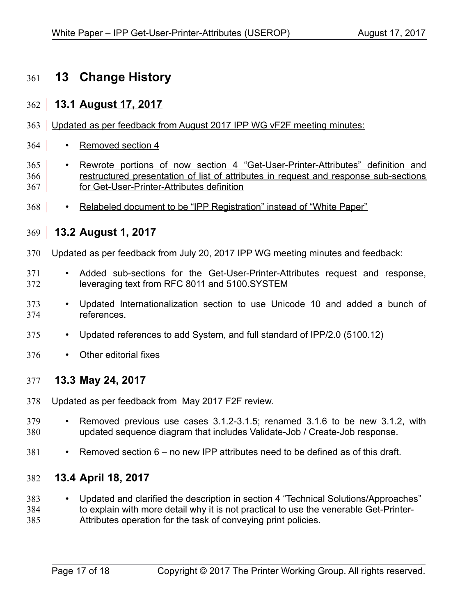# **13 Change History** 361

## **13.1 August 17, 2017**  $362$

- 363 Updated as per feedback from August 2017 IPP WG vF2F meeting minutes:
- Removed section 4 364
- Rewrote portions of now section 4 "Get-User-Printer-Attributes" definition and restructured presentation of list of attributes in request and response sub-sections for Get-User-Printer-Attributes definition 365 366 367
- Relabeled document to be "IPP Registration" instead of "White Paper" 368

## **13.2 August 1, 2017**  $369$

- Updated as per feedback from July 20, 2017 IPP WG meeting minutes and feedback: 370
- Added sub-sections for the Get-User-Printer-Attributes request and response, leveraging text from RFC 8011 and 5100.SYSTEM 371 372
- Updated Internationalization section to use Unicode 10 and added a bunch of references. 373 374
- Updated references to add System, and full standard of IPP/2.0 (5100.12) 375
- Other editorial fixes 376

## **13.3 May 24, 2017** 377

- Updated as per feedback from May 2017 F2F review. 378
- Removed previous use cases 3.1.2-3.1.5; renamed 3.1.6 to be new 3.1.2, with updated sequence diagram that includes Validate-Job / Create-Job response. 379 380
- Removed section 6 no new IPP attributes need to be defined as of this draft. 381

## **13.4 April 18, 2017** 382

- Updated and clarified the description in section 4 "Technical Solutions/Approaches" to explain with more detail why it is not practical to use the venerable Get-Printer-383 384
- Attributes operation for the task of conveying print policies. 385